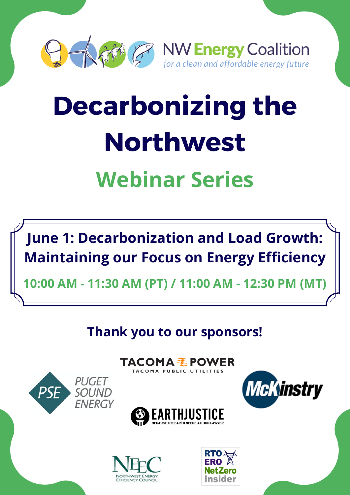

# **Decarbonizing the Northwest Webinar Series**



**10:00 AM - 11:30 AM (PT) / 11:00 AM - 12:30 PM (MT)**

**Thank you to our sponsors!**

TACOMA PUBLIC UTILITIES







**PUGET** 

SOUND

**FNFRGY** 

**PSF** 

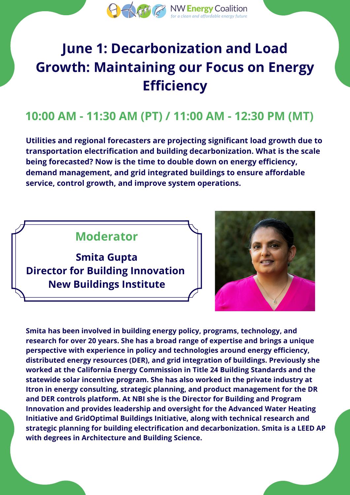

# **June 1: Decarbonization and Load Growth: Maintaining our Focus on Energy Efficiency**

### **10:00 AM - 11:30 AM (PT) / 11:00 AM - 12:30 PM (MT)**

**Utilities and regional forecasters are projecting significant load growth due to transportation electrification and building decarbonization. What is the scale being forecasted? Now is the time to double down on energy efficiency, demand management, and grid integrated buildings to ensure affordable service, control growth, and improve system operations.**

#### **Moderator**

**Smita Gupta Director for Building Innovation New Buildings Institute**



**Smita has been involved in building energy policy, programs, technology, and research for over 20 years. She has a broad range of expertise and brings a unique perspective with experience in policy and technologies around energy efficiency, distributed energy resources (DER), and grid integration of buildings. Previously she worked at the California Energy Commission in Title 24 Building Standards and the statewide solar incentive program. She has also worked in the private industry at Itron in energy consulting, strategic planning, and product management for the DR and DER controls platform. At NBI she is the Director for Building and Program Innovation and provides leadership and oversight for the Advanced Water Heating Initiative and GridOptimal Buildings Initiative, along with technical research and strategic planning for building electrification and decarbonization. Smita is a LEED AP with degrees in Architecture and Building Science.**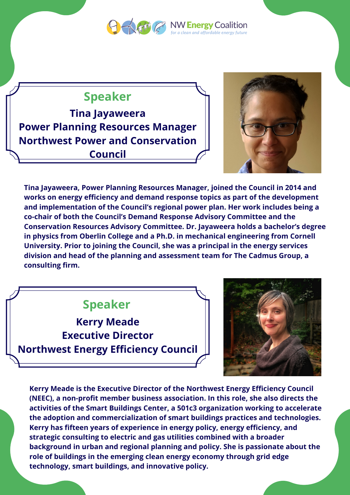

#### **Speaker**

**Tina Jayaweera Power Planning Resources Manager Northwest Power and Conservation Council**



**Tina Jayaweera, Power Planning Resources Manager, joined the Council in 2014 and works on energy efficiency and demand response topics as part of the development and implementation of the Council's regional power plan. Her work includes being a co-chair of both the Council's Demand Response Advisory Committee and the Conservation Resources Advisory Committee. Dr. Jayaweera holds a bachelor's degree in physics from Oberlin College and a Ph.D. in mechanical engineering from Cornell University. Prior to joining the Council, she was a principal in the energy services division and head of the planning and assessment team for The Cadmus Group, a consulting firm.**

#### **Speaker**

**Kerry Meade Executive Director Northwest Energy Efficiency Council**



**Kerry Meade is the Executive Director of the Northwest Energy Efficiency Council (NEEC), a non-profit member business association. In this role, she also directs the activities of the Smart Buildings Center, a 501c3 organization working to accelerate the adoption and commercialization of smart buildings practices and technologies. Kerry has fifteen years of experience in energy policy, energy efficiency, and strategic consulting to electric and gas utilities combined with a broader background in urban and regional planning and policy. She is passionate about the role of buildings in the emerging clean energy economy through grid edge technology, smart buildings, and innovative policy.**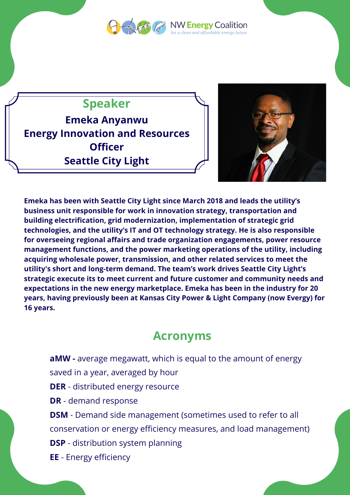

**DENERGY Coalition** lean and affordable energy future

## **Speaker**

**Emeka Anyanwu Energy Innovation and Resources Officer Seattle City Light**



**Emeka has been with Seattle City Light since March 2018 and leads the utility's business unit responsible for work in innovation strategy, transportation and building electrification, grid modernization, implementation of strategic grid technologies, and the utility's IT and OT technology strategy. He is also responsible for overseeing regional affairs and trade organization engagements, power resource management functions, and the power marketing operations of the utility, including acquiring wholesale power, transmission, and other related services to meet the utility's short and long-term demand. The team's work drives Seattle City Light's strategic execute its to meet current and future customer and community needs and expectations in the new energy marketplace. Emeka has been in the industry for 20 years, having previously been at Kansas City Power & Light Company (now Evergy) for 16 years.**

#### **Acronyms**

**aMW -** average megawatt, which is equal to the amount of energy saved in a year, averaged by hour **DER** - distributed energy resource **DR** - demand response **DSM** - Demand side management (sometimes used to refer to all conservation or energy efficiency measures, and load management) **DSP** - distribution system planning **EE** - Energy efficiency